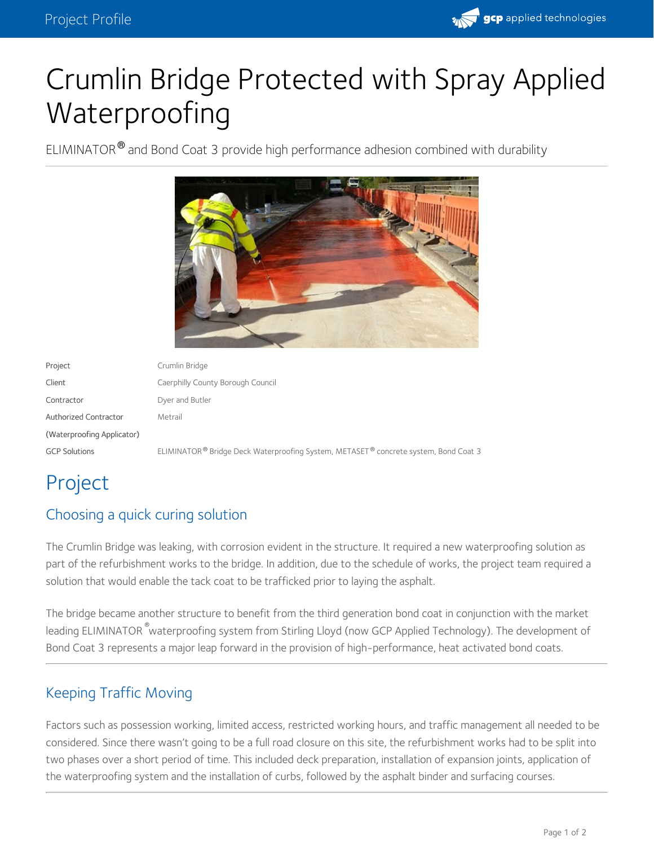

# Crumlin Bridge Protected with Spray Applied Waterproofing

ELIMINATOR $^\circledR$  and Bond Coat 3 provide high performance adhesion combined with durability



| Project                    | Crumlin Bridge                                                                                              |
|----------------------------|-------------------------------------------------------------------------------------------------------------|
| Client                     | Caerphilly County Borough Council                                                                           |
| Contractor                 | Dyer and Butler                                                                                             |
| Authorized Contractor      | Metrail                                                                                                     |
| (Waterproofing Applicator) |                                                                                                             |
| <b>GCP Solutions</b>       | ELIMINATOR <sup>®</sup> Bridge Deck Waterproofing System, METASET <sup>®</sup> concrete system, Bond Coat 3 |

# Project

## Choosing a quick curing solution

The Crumlin Bridge was leaking, with corrosion evident in the structure. It required a new waterproofing solution as part of the refurbishment works to the bridge. In addition, due to the schedule of works, the project team required a solution that would enable the tack coat to be trafficked prior to laying the asphalt.

The bridge became another structure to benefit from the third generation bond coat in conjunction with the market leading ELIMINATOR  $^\circ$ waterproofing system from Stirling Lloyd (now GCP Applied Technology). The development of Bond Coat 3 represents a major leap forward in the provision of high-performance, heat activated bond coats.

### Keeping Traffic Moving

Factors such as possession working, limited access, restricted working hours, and traffic management all needed to be considered. Since there wasn't going to be a full road closure on this site, the refurbishment works had to be split into two phases over a short period of time. This included deck preparation, installation of expansion joints, application of the waterproofing system and the installation of curbs, followed by the asphalt binder and surfacing courses.